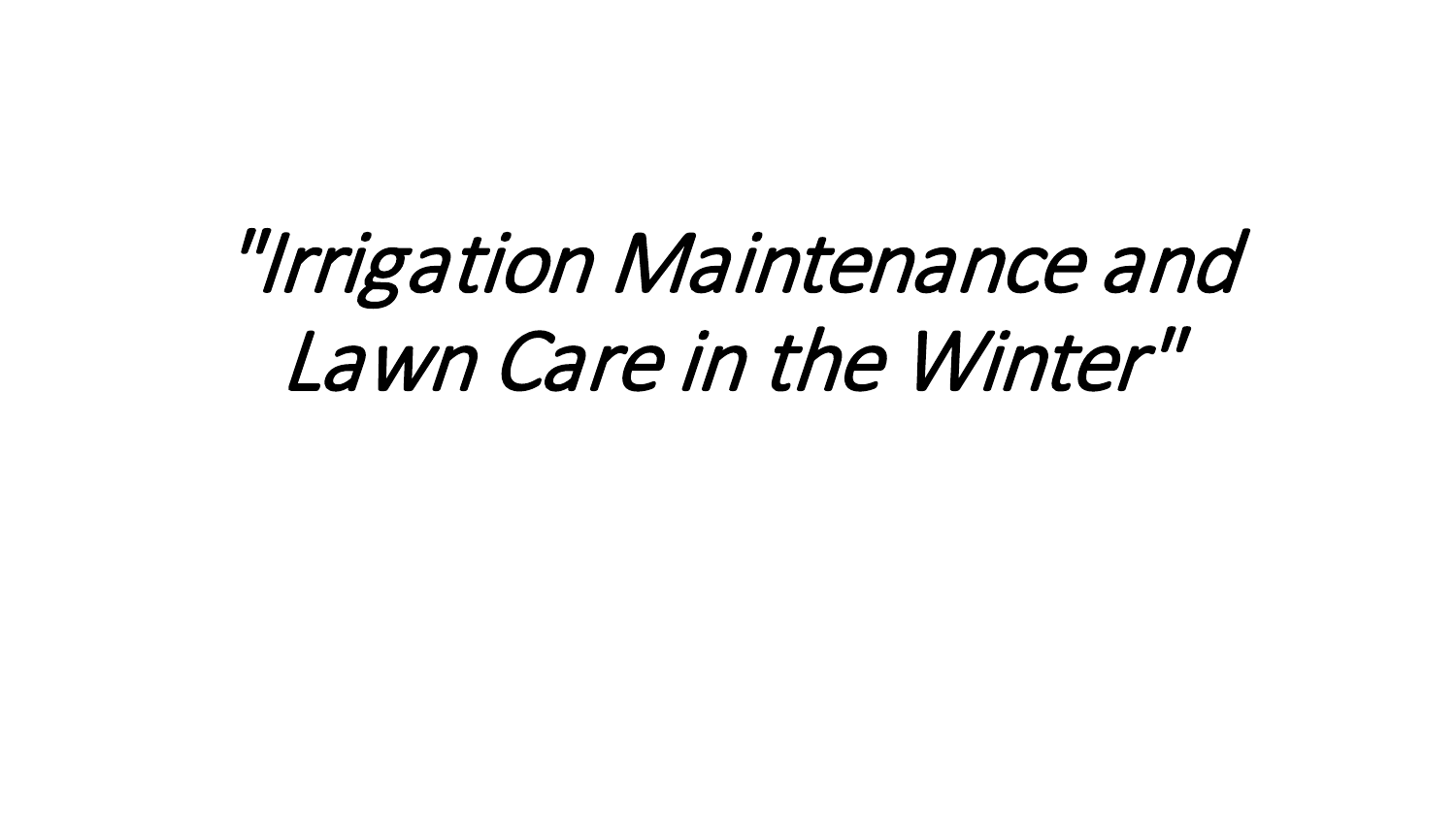# "Irrigation Maintenance and Lawn Care in the Winter"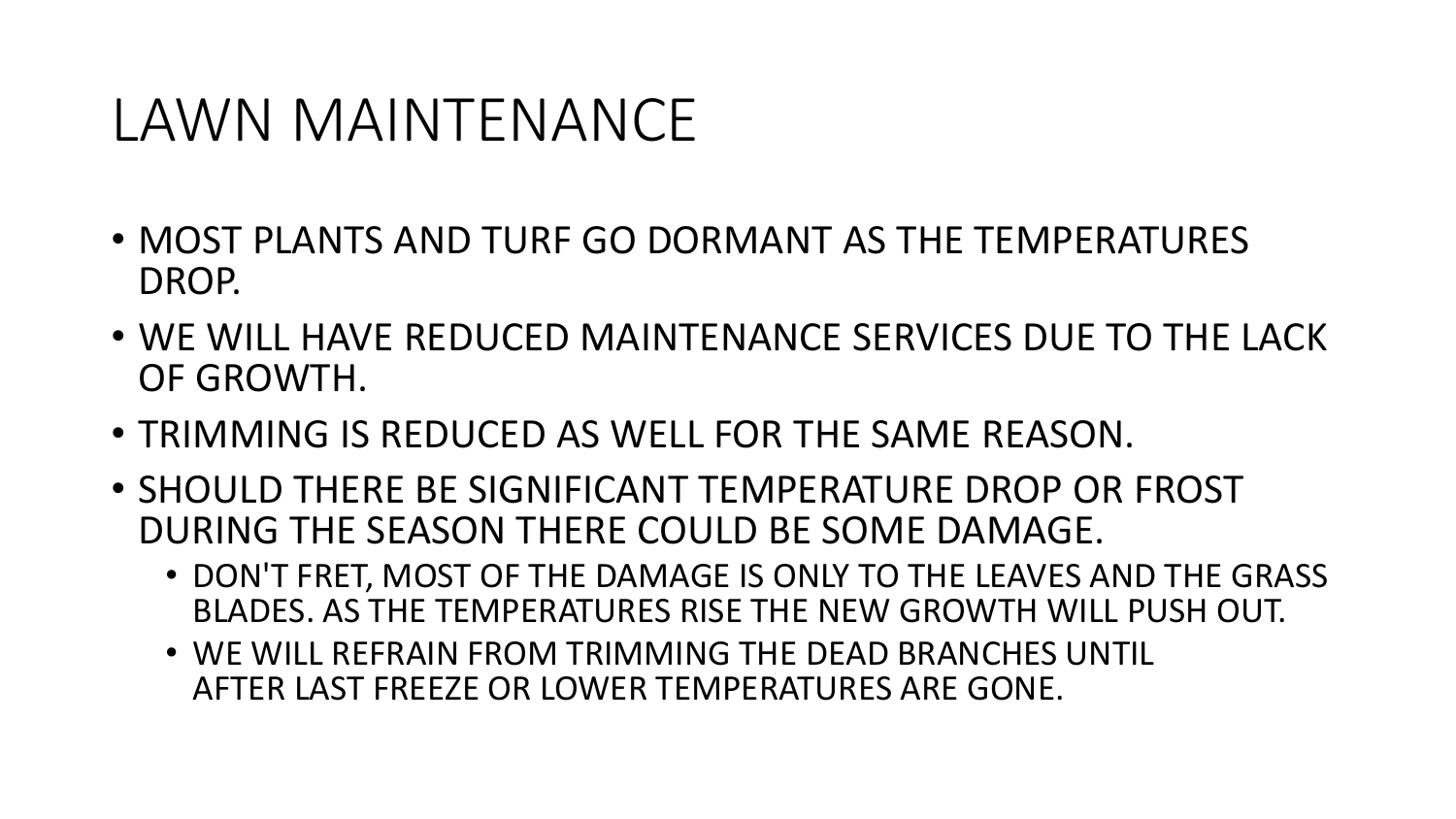# LAWN MAINTENANCE

- MOST PLANTS AND TURF GO DORMANT AS THE TEMPERATURES DROP.
- WE WILL HAVE REDUCED MAINTENANCE SERVICES DUE TO THE LACK OF GROWTH.
- TRIMMING IS REDUCED AS WELL FOR THE SAME REASON.
- SHOULD THERE BE SIGNIFICANT TEMPERATURE DROP OR FROST DURING THE SEASON THERE COULD BE SOME DAMAGE.
	- DON'T FRET, MOST OF THE DAMAGE IS ONLY TO THE LEAVES AND THE GRASS BLADES. AS THE TEMPERATURES RISE THE NEW GROWTH WILL PUSH OUT.
	- WE WILL REFRAIN FROM TRIMMING THE DEAD BRANCHES UNTIL AFTER LAST FREEZE OR LOWER TEMPERATURES ARE GONE.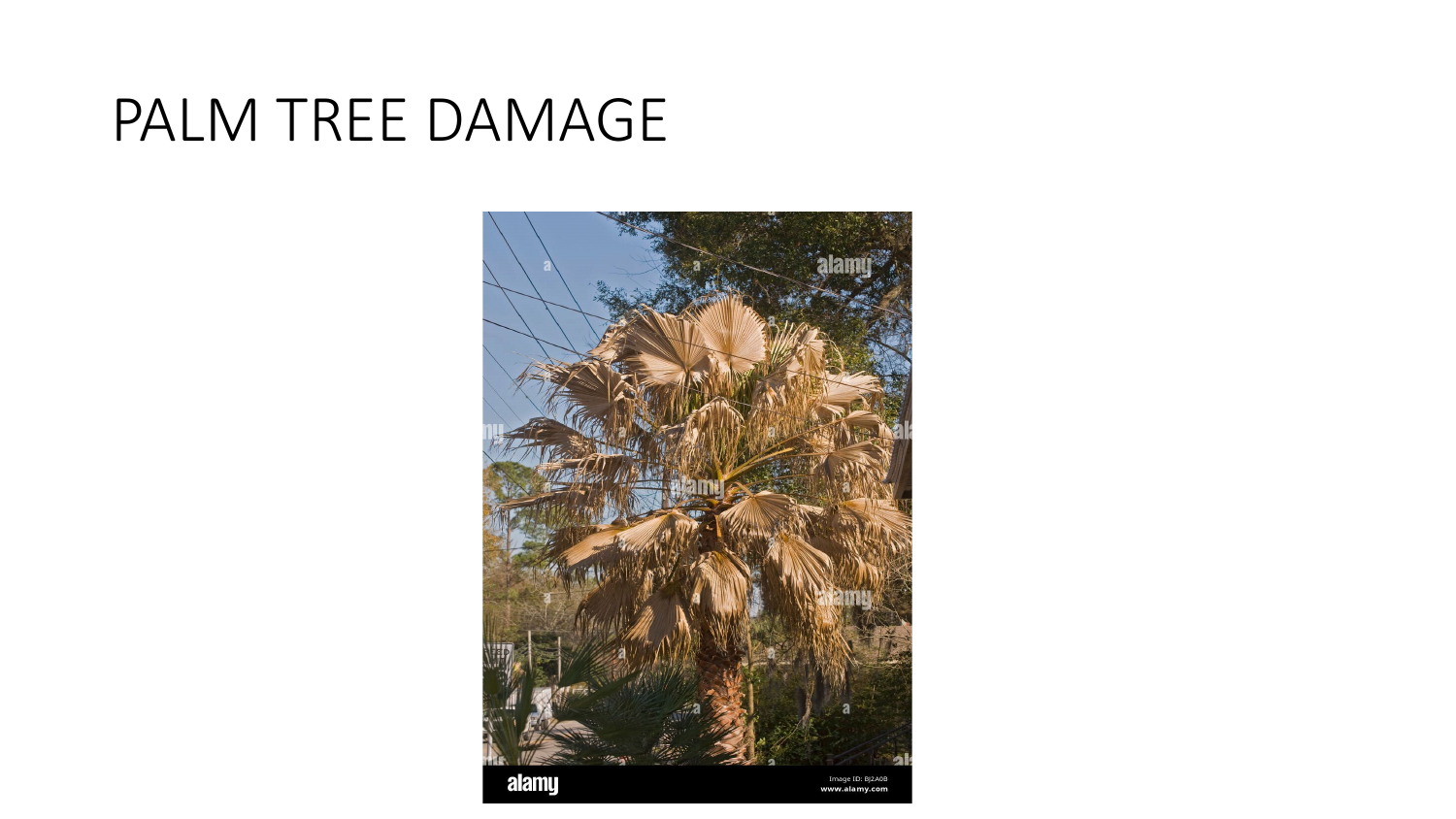#### PALM TREE DAMAGE

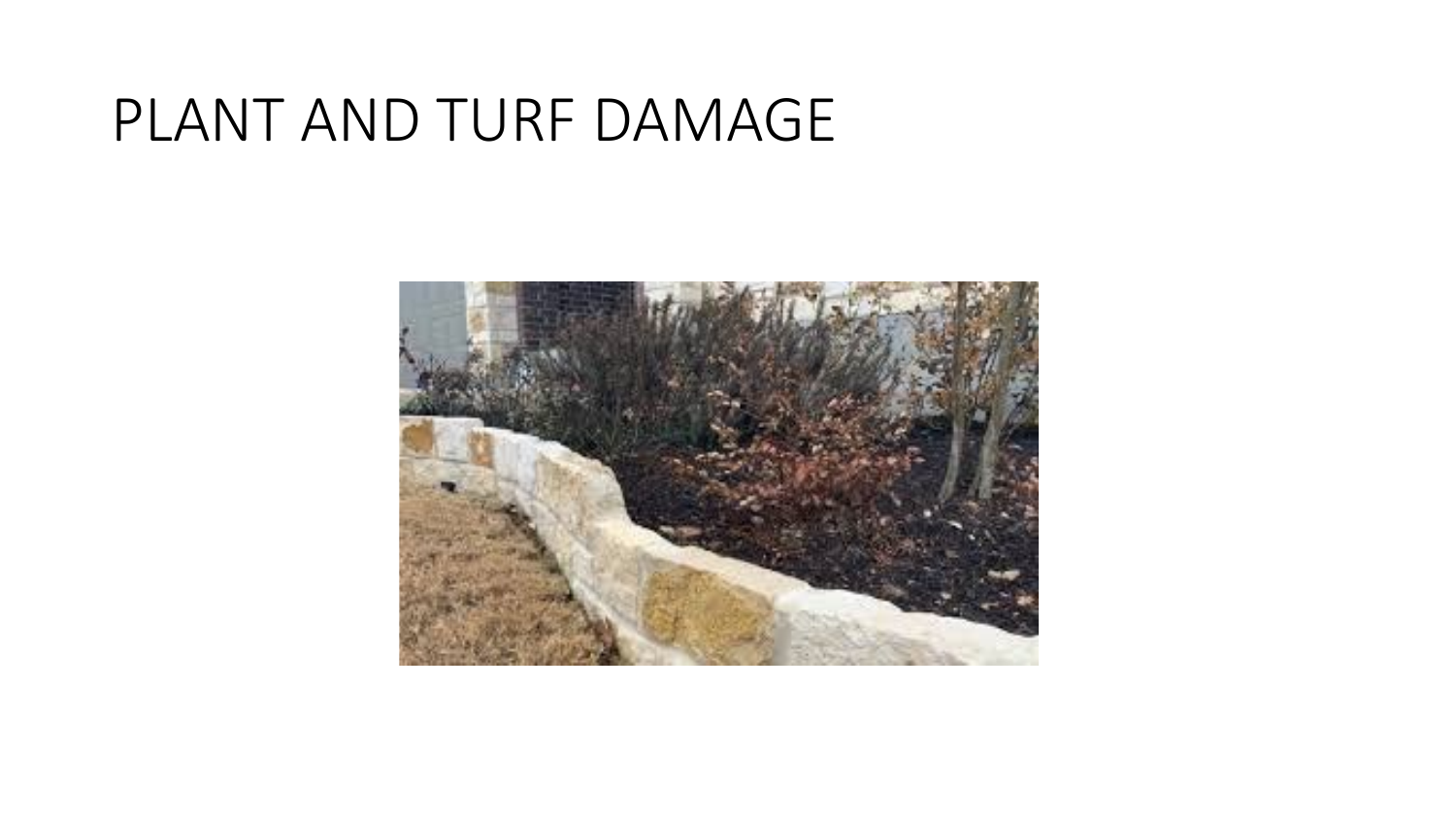## PLANT AND TURF DAMAGE

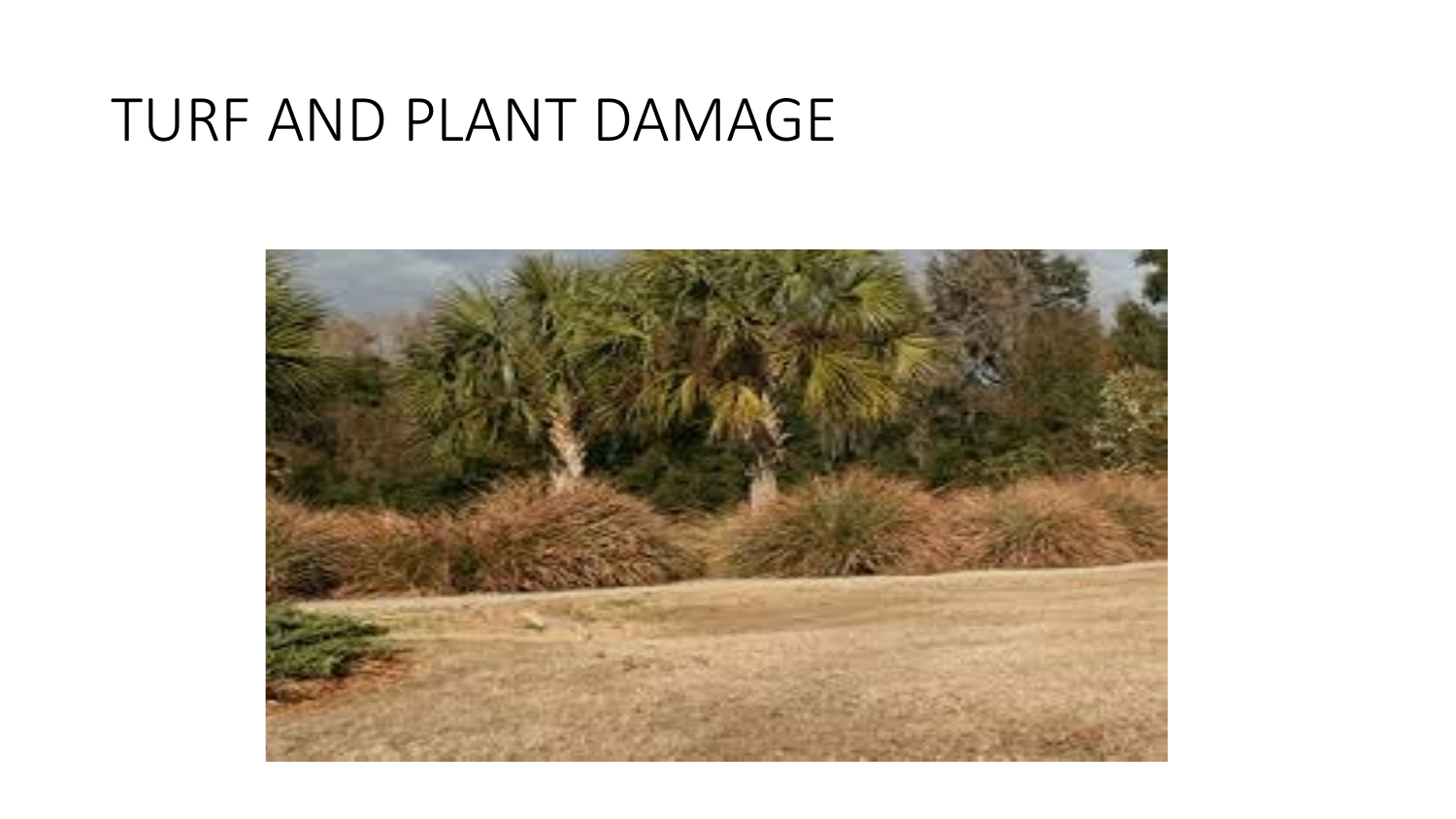#### TURF AND PLANT DAMAGE

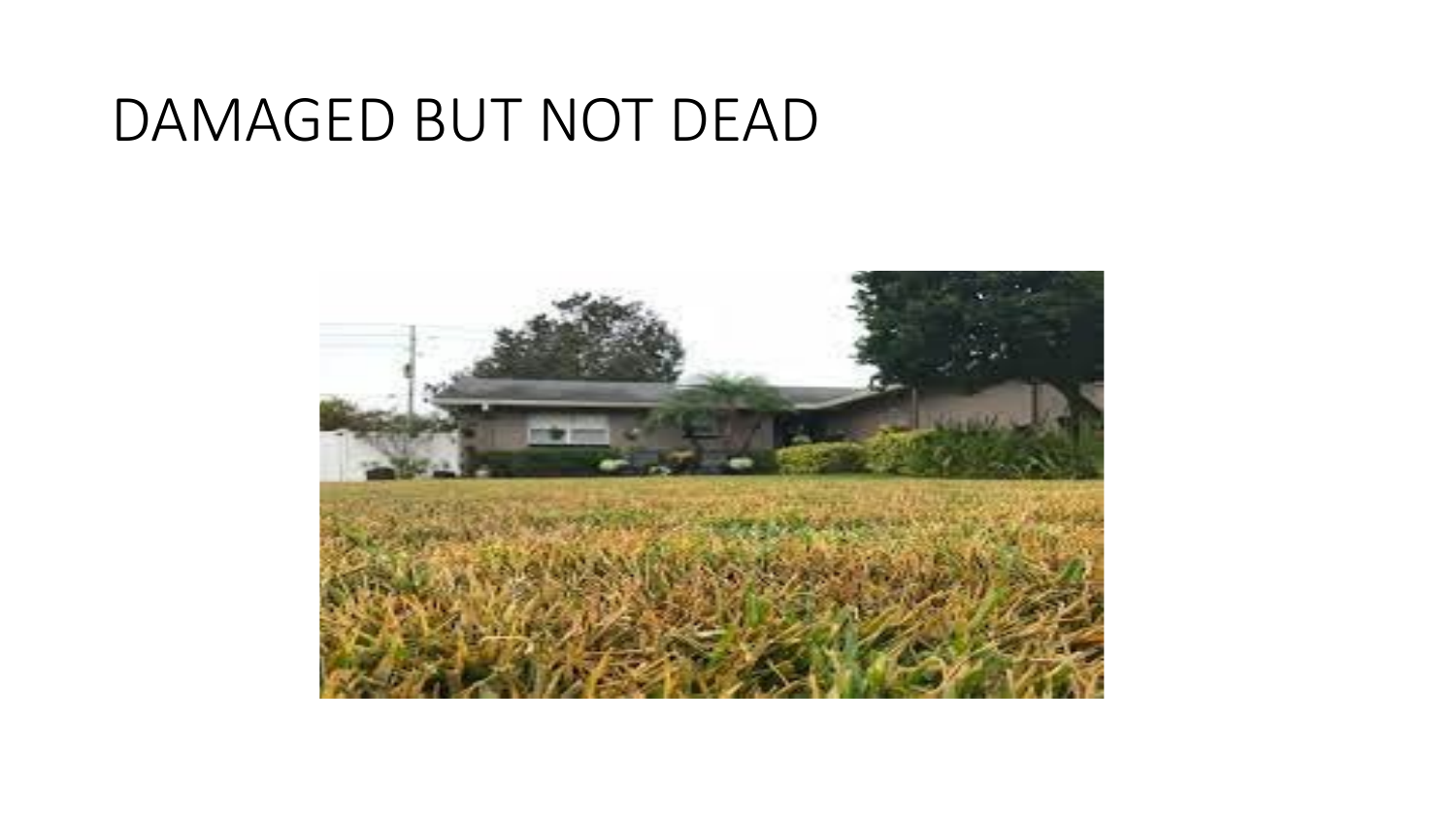## DAMAGED BUT NOT DEAD

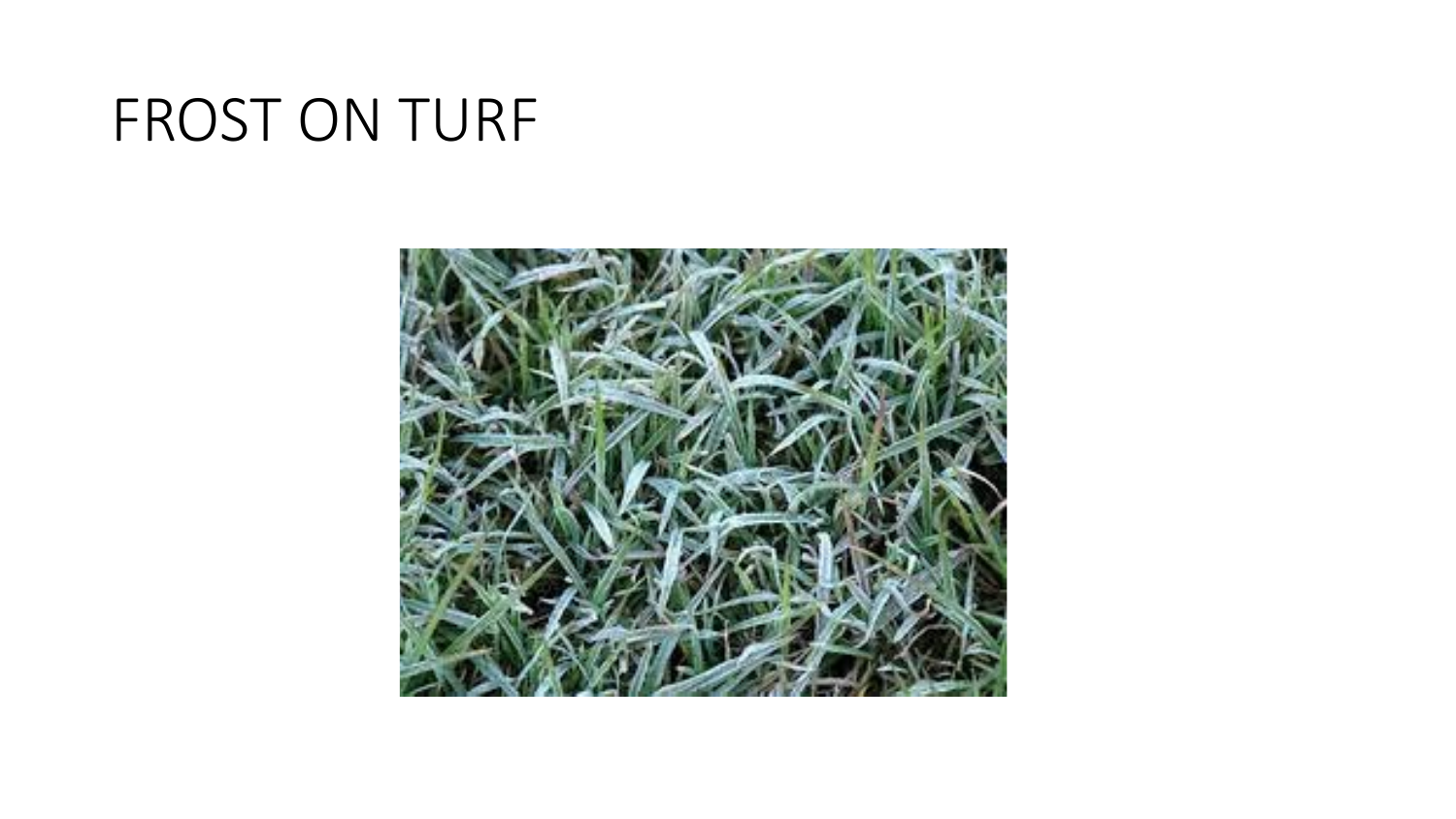## FROST ON TURF

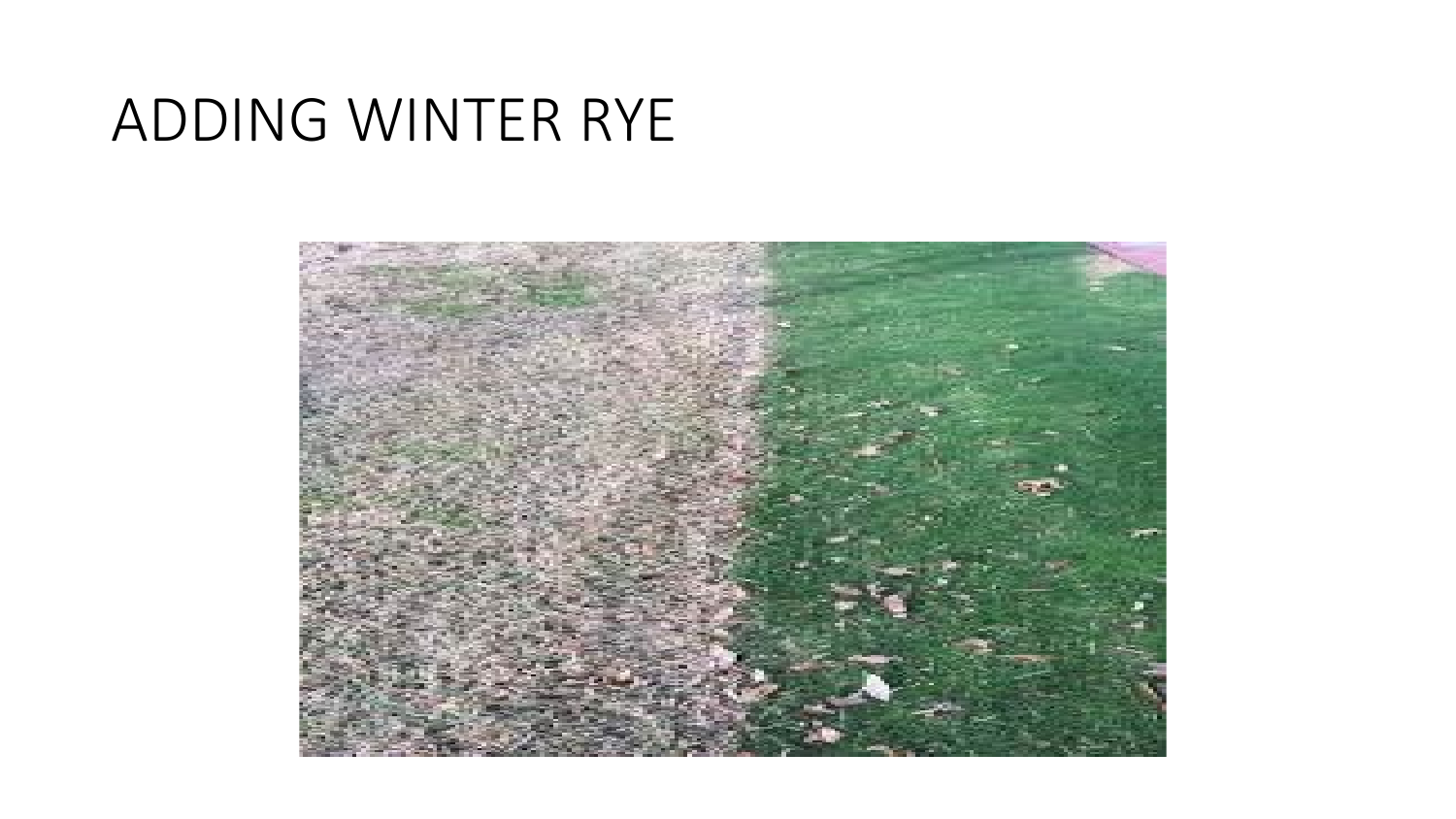## ADDING WINTER RYE

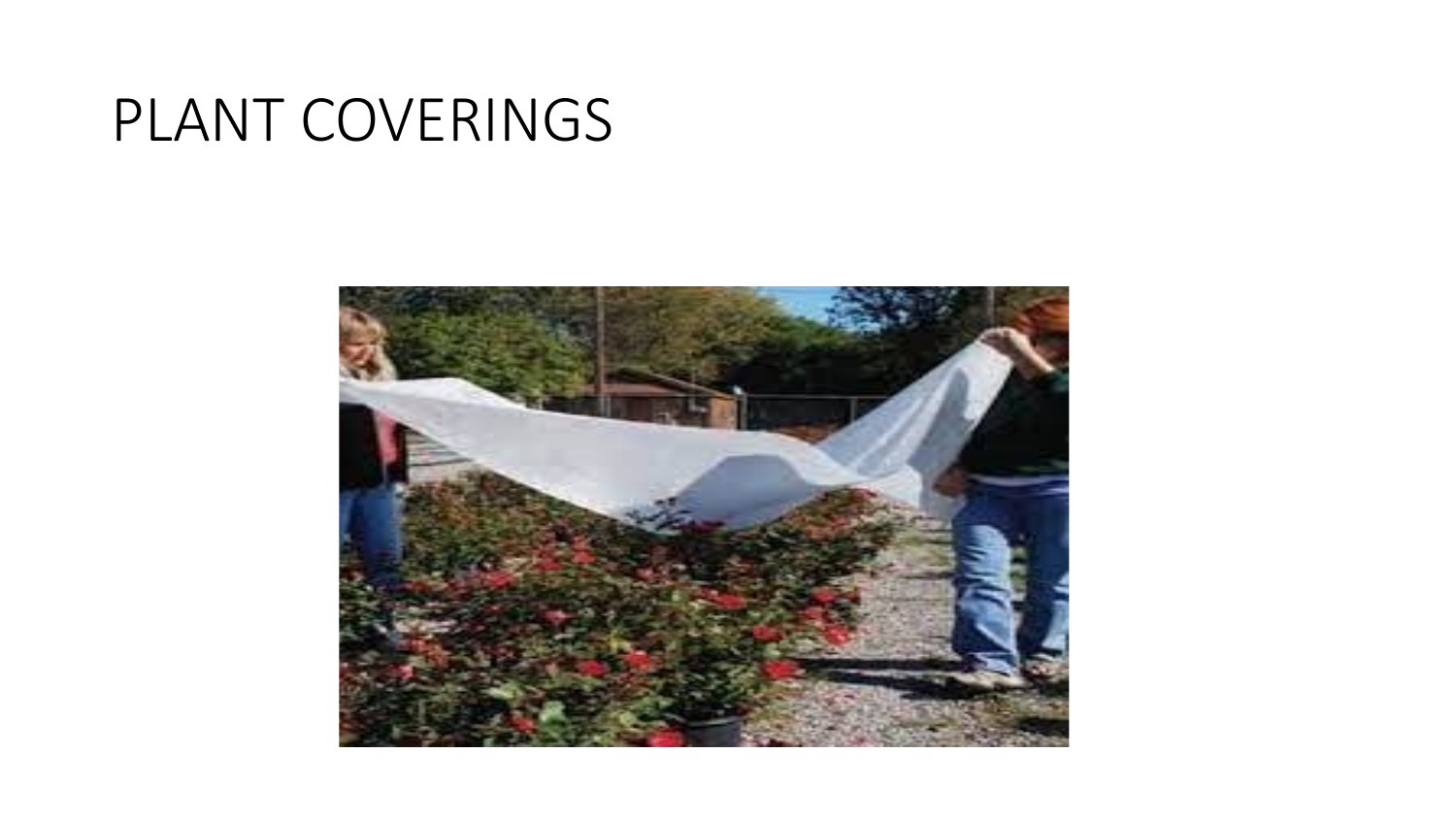# PLANT COVERINGS

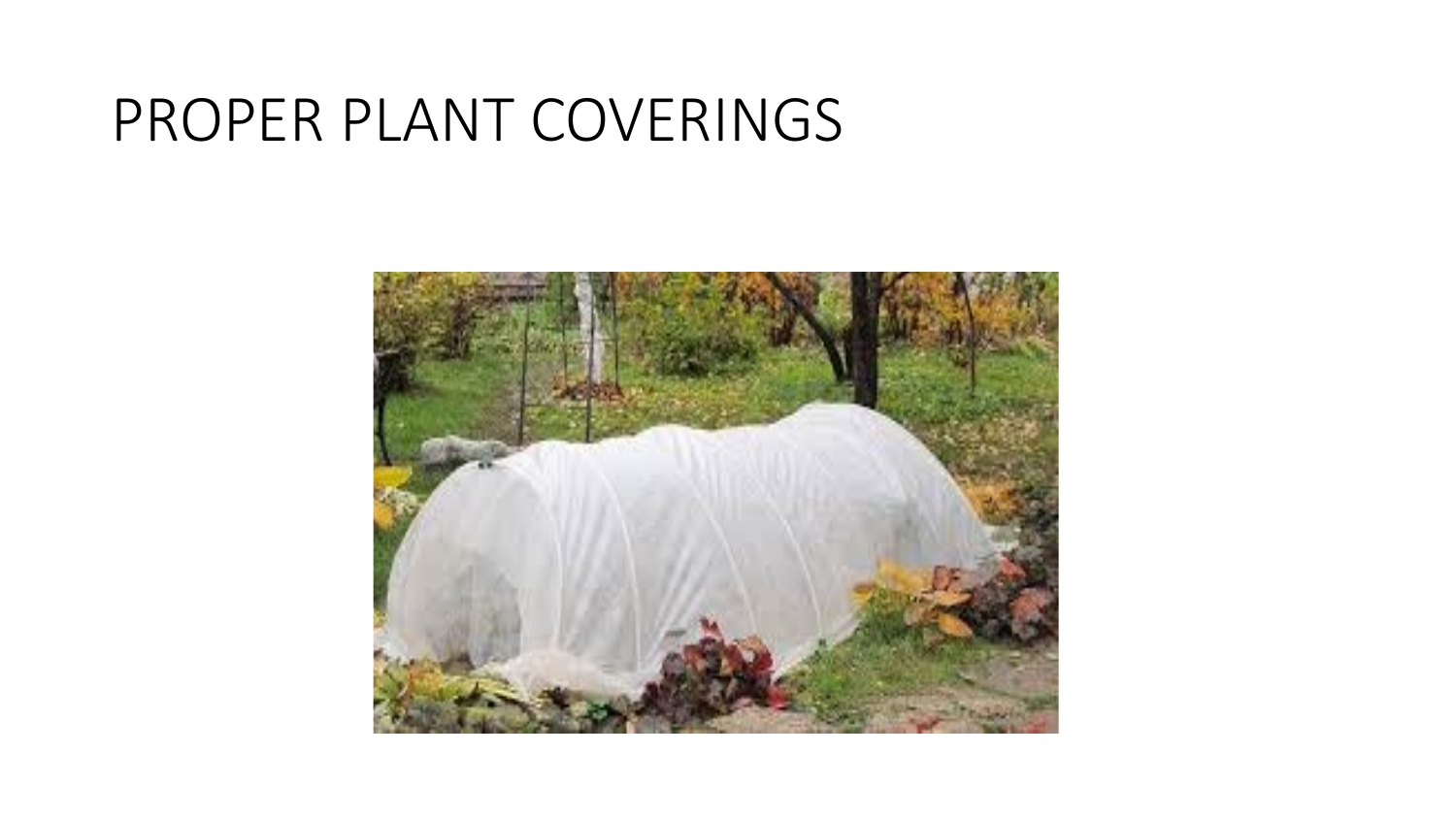## PROPER PLANT COVERINGS

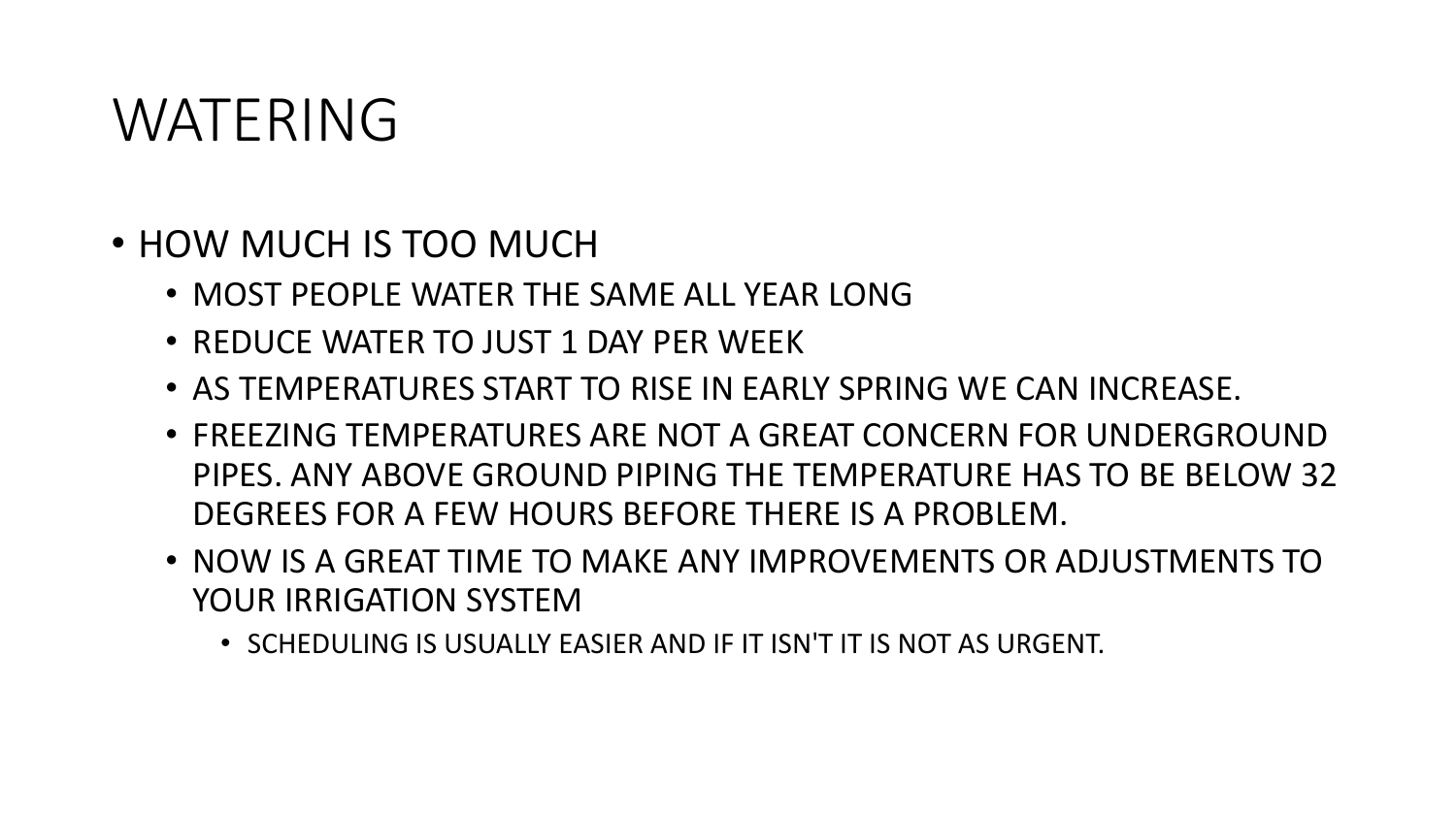#### WATERING

- HOW MUCH IS TOO MUCH
	- MOST PEOPLE WATER THE SAME ALL YEAR LONG
	- REDUCE WATER TO JUST 1 DAY PER WEEK
	- AS TEMPERATURES START TO RISE IN EARLY SPRING WE CAN INCREASE.
	- FREEZING TEMPERATURES ARE NOT A GREAT CONCERN FOR UNDERGROUND PIPES. ANY ABOVE GROUND PIPING THE TEMPERATURE HAS TO BE BELOW 32 DEGREES FOR A FEW HOURS BEFORE THERE IS A PROBLEM.
	- NOW IS A GREAT TIME TO MAKE ANY IMPROVEMENTS OR ADJUSTMENTS TO YOUR IRRIGATION SYSTEM
		- SCHEDULING IS USUALLY EASIER AND IF IT ISN'T IT IS NOT AS URGENT.